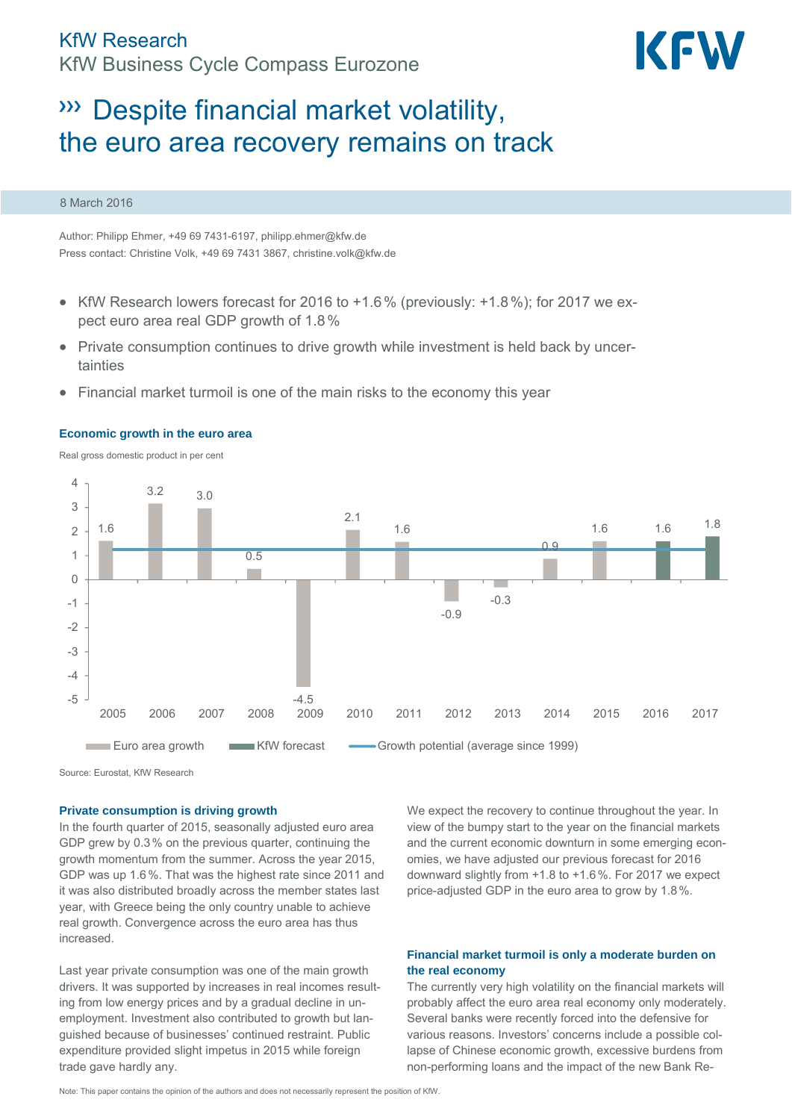

# Despite financial market volatility, the euro area recovery remains on track

### 8 March 2016

Author: Philipp Ehmer, +49 69 7431-6197, philipp.ehmer@kfw.de Press contact: Christine Volk, +49 69 7431 3867, christine.volk@kfw.de

- KfW Research lowers forecast for 2016 to  $+1.6\%$  (previously:  $+1.8\%$ ); for 2017 we expect euro area real GDP growth of 1.8%
- Private consumption continues to drive growth while investment is held back by uncertainties
- Financial market turmoil is one of the main risks to the economy this year



#### **Economic growth in the euro area**

Real gross domestic product in per cent

Source: Eurostat, KfW Research

# **Private consumption is driving growth**

In the fourth quarter of 2015, seasonally adjusted euro area GDP grew by 0.3% on the previous quarter, continuing the growth momentum from the summer. Across the year 2015, GDP was up 1.6%. That was the highest rate since 2011 and it was also distributed broadly across the member states last year, with Greece being the only country unable to achieve real growth. Convergence across the euro area has thus increased.

Last year private consumption was one of the main growth drivers. It was supported by increases in real incomes resulting from low energy prices and by a gradual decline in unemployment. Investment also contributed to growth but languished because of businesses' continued restraint. Public expenditure provided slight impetus in 2015 while foreign trade gave hardly any.

We expect the recovery to continue throughout the year. In view of the bumpy start to the year on the financial markets and the current economic downturn in some emerging economies, we have adjusted our previous forecast for 2016 downward slightly from +1.8 to +1.6%. For 2017 we expect price-adjusted GDP in the euro area to grow by 1.8%.

# **Financial market turmoil is only a moderate burden on the real economy**

The currently very high volatility on the financial markets will probably affect the euro area real economy only moderately. Several banks were recently forced into the defensive for various reasons. Investors' concerns include a possible collapse of Chinese economic growth, excessive burdens from non-performing loans and the impact of the new Bank Re-

Note: This paper contains the opinion of the authors and does not necessarily represent the position of KfW.